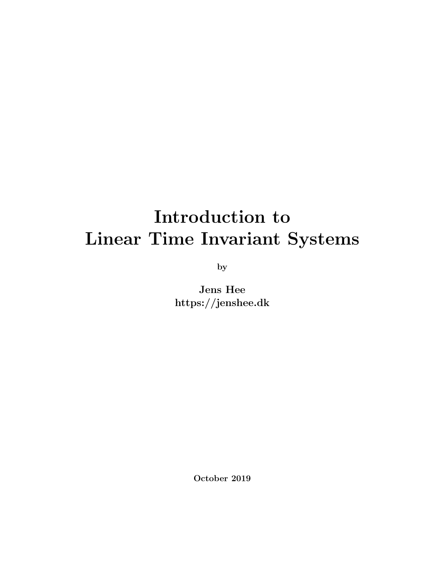# Introduction to Linear Time Invariant Systems

by

Jens Hee https://jenshee.dk

October 2019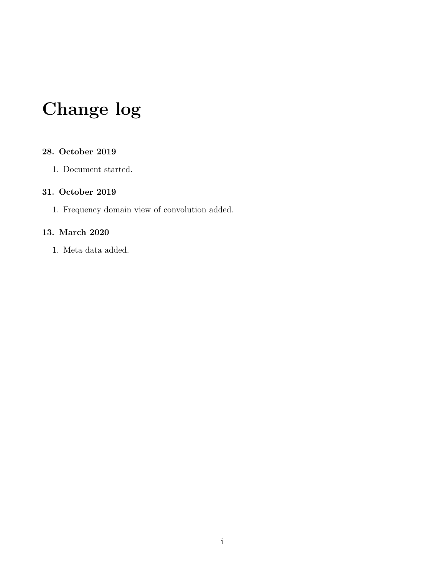## Change log

#### 28. October 2019

1. Document started.

#### 31. October 2019

1. Frequency domain view of convolution added.

#### 13. March 2020

1. Meta data added.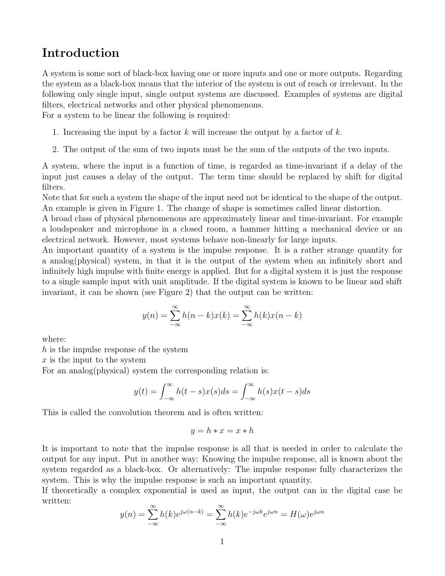### Introduction

A system is some sort of black-box having one or more inputs and one or more outputs. Regarding the system as a black-box means that the interior of the system is out of reach or irrelevant. In the following only single input, single output systems are discussed. Examples of systems are digital filters, electrical networks and other physical phenomenons.

For a system to be linear the following is required:

- 1. Increasing the input by a factor k will increase the output by a factor of  $k$ .
- 2. The output of the sum of two inputs must be the sum of the outputs of the two inputs.

A system, where the input is a function of time, is regarded as time-invariant if a delay of the input just causes a delay of the output. The term time should be replaced by shift for digital filters.

Note that for such a system the shape of the input need not be identical to the shape of the output. An example is given in Figure [1.](#page-4-0) The change of shape is sometimes called linear distortion.

A broad class of physical phenomenons are approximately linear and time-invariant. For example a loudspeaker and microphone in a closed room, a hammer hitting a mechanical device or an electrical network. However, most systems behave non-linearly for large inputs.

An important quantity of a system is the impulse response. It is a rather strange quantity for a analog(physical) system, in that it is the output of the system when an infinitely short and infinitely high impulse with finite energy is applied. But for a digital system it is just the response to a single sample input with unit amplitude. If the digital system is known to be linear and shift invariant, it can be shown (see Figure [2\)](#page-4-1) that the output can be written:

$$
y(n) = \sum_{-\infty}^{\infty} h(n-k)x(k) = \sum_{-\infty}^{\infty} h(k)x(n-k)
$$

where:

h is the impulse response of the system

 $x$  is the input to the system

For an analog(physical) system the corresponding relation is:

$$
y(t) = \int_{-\infty}^{\infty} h(t-s)x(s)ds = \int_{-\infty}^{\infty} h(s)x(t-s)ds
$$

This is called the convolution theorem and is often written:

$$
y = h * x = x * h
$$

It is important to note that the impulse response is all that is needed in order to calculate the output for any input. Put in another way: Knowing the impulse response, all is known about the system regarded as a black-box. Or alternatively: The impulse response fully characterizes the system. This is why the impulse response is such an important quantity.

If theoretically a complex exponential is used as input, the output can in the digital case be written:

$$
y(n) = \sum_{-\infty}^{\infty} h(k)e^{j\omega(n-k)} = \sum_{-\infty}^{\infty} h(k)e^{-j\omega k}e^{j\omega n} = H(\omega)e^{j\omega n}
$$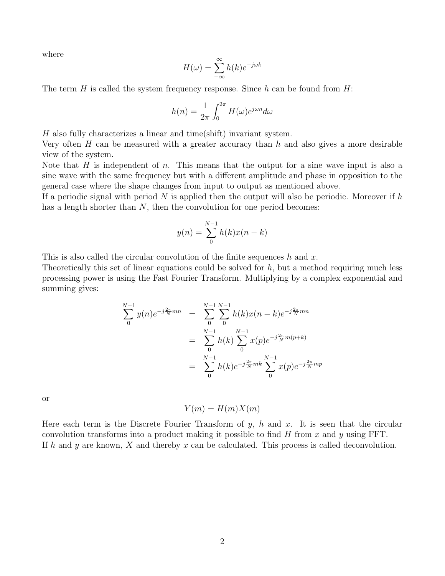where

$$
H(\omega) = \sum_{-\infty}^{\infty} h(k)e^{-j\omega k}
$$

The term H is called the system frequency response. Since  $h$  can be found from  $H$ :

$$
h(n) = \frac{1}{2\pi} \int_0^{2\pi} H(\omega) e^{j\omega n} d\omega
$$

H also fully characterizes a linear and time(shift) invariant system.

Very often  $H$  can be measured with a greater accuracy than  $h$  and also gives a more desirable view of the system.

Note that  $H$  is independent of  $n$ . This means that the output for a sine wave input is also a sine wave with the same frequency but with a different amplitude and phase in opposition to the general case where the shape changes from input to output as mentioned above.

If a periodic signal with period N is applied then the output will also be periodic. Moreover if h has a length shorter than  $N$ , then the convolution for one period becomes:

$$
y(n) = \sum_{0}^{N-1} h(k)x(n-k)
$$

This is also called the circular convolution of the finite sequences h and x.

Theoretically this set of linear equations could be solved for  $h$ , but a method requiring much less processing power is using the Fast Fourier Transform. Multiplying by a complex exponential and summing gives:

$$
\sum_{0}^{N-1} y(n)e^{-j\frac{2\pi}{N}mn} = \sum_{0}^{N-1} \sum_{0}^{N-1} h(k)x(n-k)e^{-j\frac{2\pi}{N}mn}
$$
  

$$
= \sum_{0}^{N-1} h(k)\sum_{0}^{N-1} x(p)e^{-j\frac{2\pi}{N}m(p+k)}
$$
  

$$
= \sum_{0}^{N-1} h(k)e^{-j\frac{2\pi}{N}mk} \sum_{0}^{N-1} x(p)e^{-j\frac{2\pi}{N}mp}
$$

or

 $Y(m) = H(m)X(m)$ 

Here each term is the Discrete Fourier Transform of  $y$ ,  $h$  and  $x$ . It is seen that the circular convolution transforms into a product making it possible to find  $H$  from  $x$  and  $y$  using FFT. If h and y are known, X and thereby x can be calculated. This process is called deconvolution.